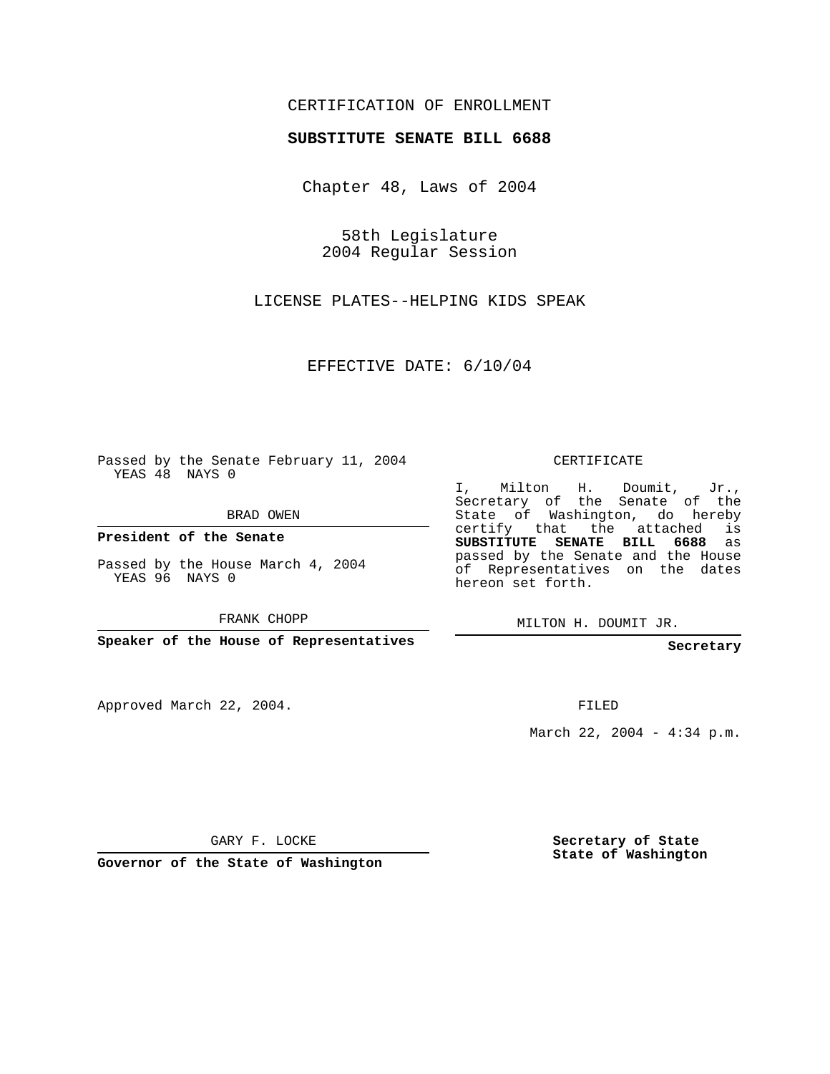### CERTIFICATION OF ENROLLMENT

#### **SUBSTITUTE SENATE BILL 6688**

Chapter 48, Laws of 2004

58th Legislature 2004 Regular Session

LICENSE PLATES--HELPING KIDS SPEAK

EFFECTIVE DATE: 6/10/04

Passed by the Senate February 11, 2004 YEAS 48 NAYS 0

BRAD OWEN

**President of the Senate**

Passed by the House March 4, 2004 YEAS 96 NAYS 0

FRANK CHOPP

**Speaker of the House of Representatives**

Approved March 22, 2004.

CERTIFICATE

I, Milton H. Doumit, Jr., Secretary of the Senate of the State of Washington, do hereby certify that the attached is **SUBSTITUTE SENATE BILL 6688** as passed by the Senate and the House of Representatives on the dates hereon set forth.

MILTON H. DOUMIT JR.

**Secretary**

FILED

March 22, 2004 - 4:34 p.m.

GARY F. LOCKE

**Governor of the State of Washington**

**Secretary of State State of Washington**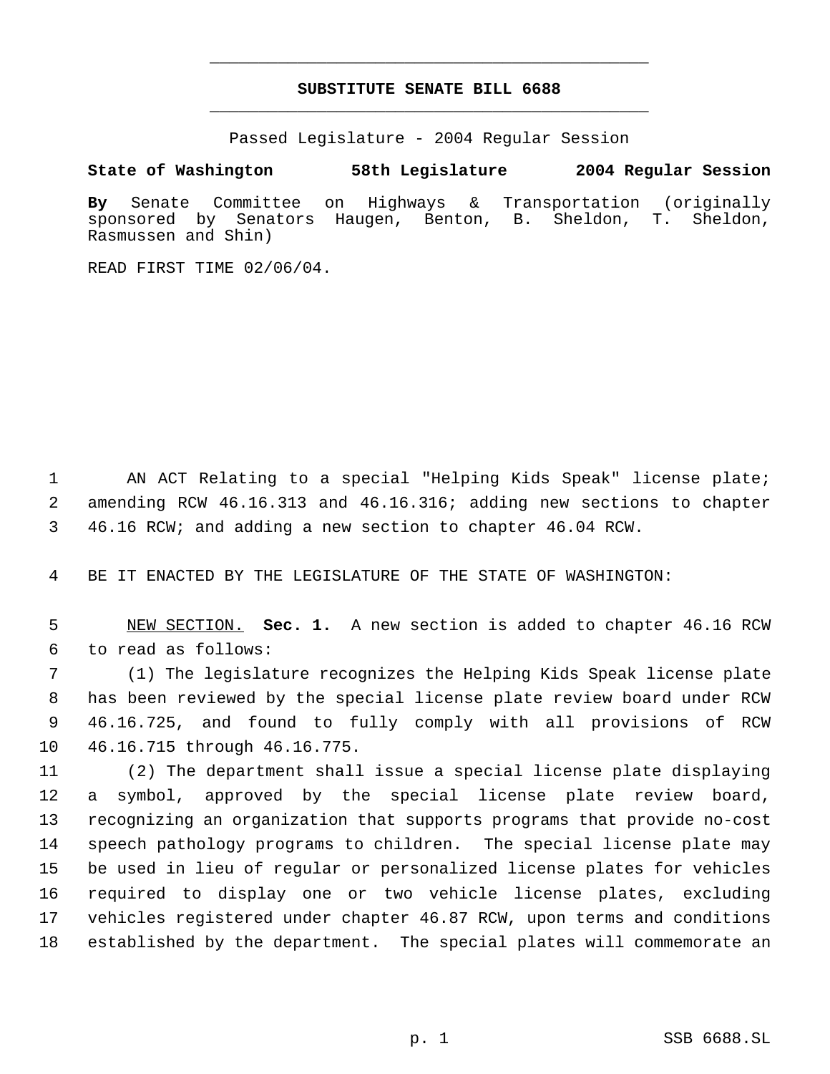## **SUBSTITUTE SENATE BILL 6688** \_\_\_\_\_\_\_\_\_\_\_\_\_\_\_\_\_\_\_\_\_\_\_\_\_\_\_\_\_\_\_\_\_\_\_\_\_\_\_\_\_\_\_\_\_

\_\_\_\_\_\_\_\_\_\_\_\_\_\_\_\_\_\_\_\_\_\_\_\_\_\_\_\_\_\_\_\_\_\_\_\_\_\_\_\_\_\_\_\_\_

Passed Legislature - 2004 Regular Session

#### **State of Washington 58th Legislature 2004 Regular Session**

**By** Senate Committee on Highways & Transportation (originally sponsored by Senators Haugen, Benton, B. Rasmussen and Shin)

READ FIRST TIME 02/06/04.

 AN ACT Relating to a special "Helping Kids Speak" license plate; amending RCW 46.16.313 and 46.16.316; adding new sections to chapter 46.16 RCW; and adding a new section to chapter 46.04 RCW.

BE IT ENACTED BY THE LEGISLATURE OF THE STATE OF WASHINGTON:

 NEW SECTION. **Sec. 1.** A new section is added to chapter 46.16 RCW to read as follows:

 (1) The legislature recognizes the Helping Kids Speak license plate has been reviewed by the special license plate review board under RCW 46.16.725, and found to fully comply with all provisions of RCW 46.16.715 through 46.16.775.

 (2) The department shall issue a special license plate displaying a symbol, approved by the special license plate review board, recognizing an organization that supports programs that provide no-cost speech pathology programs to children. The special license plate may be used in lieu of regular or personalized license plates for vehicles required to display one or two vehicle license plates, excluding vehicles registered under chapter 46.87 RCW, upon terms and conditions established by the department. The special plates will commemorate an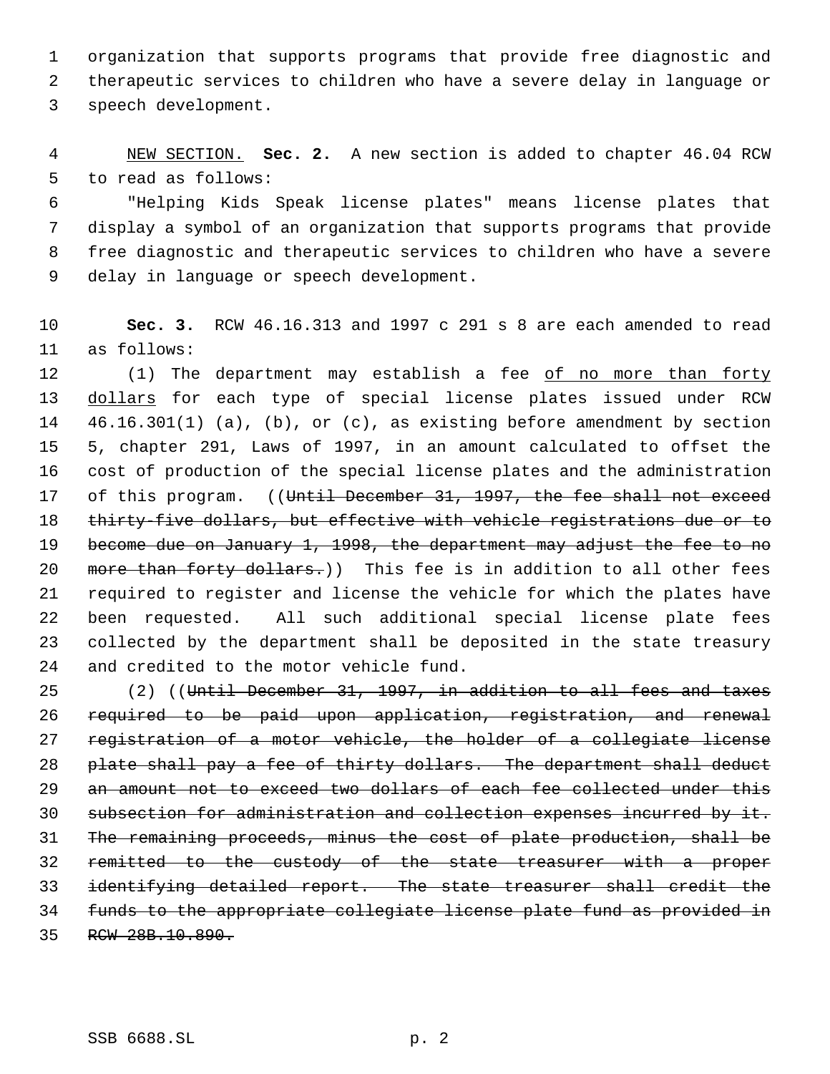organization that supports programs that provide free diagnostic and therapeutic services to children who have a severe delay in language or speech development.

 NEW SECTION. **Sec. 2.** A new section is added to chapter 46.04 RCW to read as follows:

 "Helping Kids Speak license plates" means license plates that display a symbol of an organization that supports programs that provide free diagnostic and therapeutic services to children who have a severe delay in language or speech development.

 **Sec. 3.** RCW 46.16.313 and 1997 c 291 s 8 are each amended to read as follows:

 (1) The department may establish a fee of no more than forty 13 dollars for each type of special license plates issued under RCW 46.16.301(1) (a), (b), or (c), as existing before amendment by section 5, chapter 291, Laws of 1997, in an amount calculated to offset the cost of production of the special license plates and the administration 17 of this program. ((Until December 31, 1997, the fee shall not exceed 18 thirty-five dollars, but effective with vehicle registrations due or to 19 become due on January 1, 1998, the department may adjust the fee to no 20 more than forty dollars.)) This fee is in addition to all other fees required to register and license the vehicle for which the plates have been requested. All such additional special license plate fees collected by the department shall be deposited in the state treasury and credited to the motor vehicle fund.

 (2) ((Until December 31, 1997, in addition to all fees and taxes required to be paid upon application, registration, and renewal registration of a motor vehicle, the holder of a collegiate license plate shall pay a fee of thirty dollars. The department shall deduct 29 an amount not to exceed two dollars of each fee collected under this subsection for administration and collection expenses incurred by it. The remaining proceeds, minus the cost of plate production, shall be remitted to the custody of the state treasurer with a proper identifying detailed report. The state treasurer shall credit the funds to the appropriate collegiate license plate fund as provided in RCW 28B.10.890.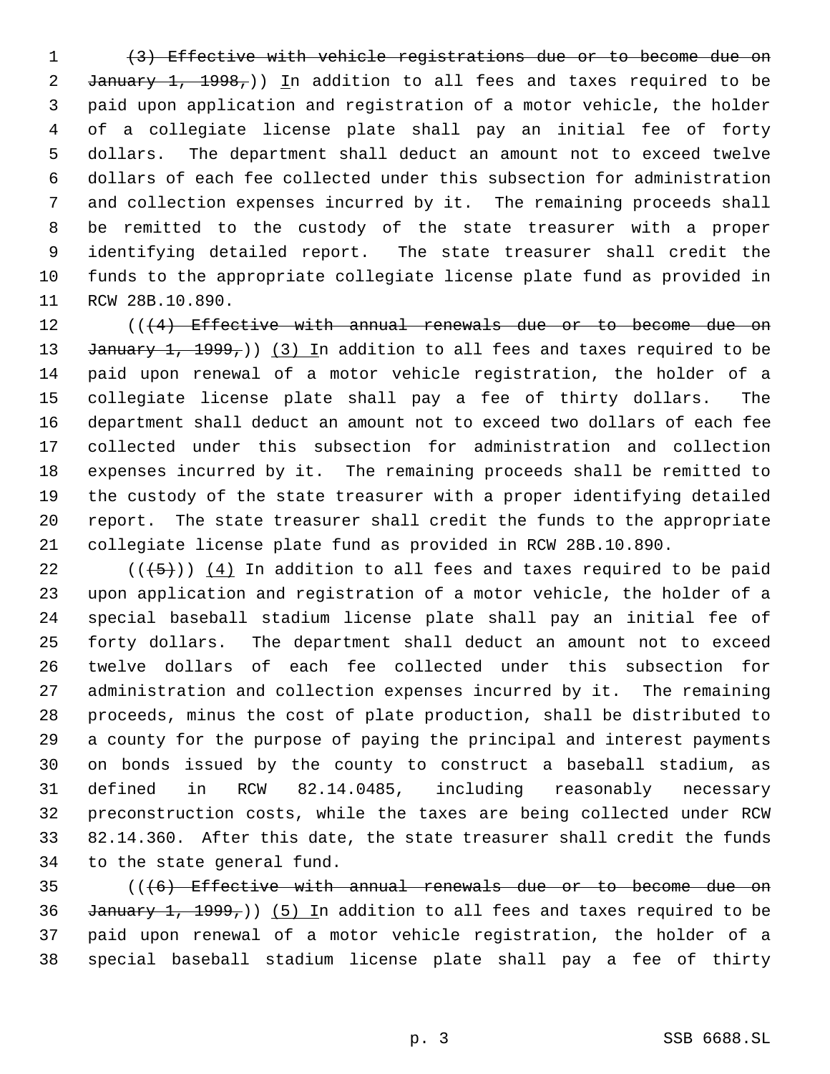(3) Effective with vehicle registrations due or to become due on 2 January  $1, 1998,$ )) In addition to all fees and taxes required to be paid upon application and registration of a motor vehicle, the holder of a collegiate license plate shall pay an initial fee of forty dollars. The department shall deduct an amount not to exceed twelve dollars of each fee collected under this subsection for administration and collection expenses incurred by it. The remaining proceeds shall be remitted to the custody of the state treasurer with a proper identifying detailed report. The state treasurer shall credit the funds to the appropriate collegiate license plate fund as provided in RCW 28B.10.890.

12 (((4) Effective with annual renewals due or to become due on 13 January 1, 1999,)) (3) In addition to all fees and taxes required to be paid upon renewal of a motor vehicle registration, the holder of a collegiate license plate shall pay a fee of thirty dollars. The department shall deduct an amount not to exceed two dollars of each fee collected under this subsection for administration and collection expenses incurred by it. The remaining proceeds shall be remitted to the custody of the state treasurer with a proper identifying detailed report. The state treasurer shall credit the funds to the appropriate collegiate license plate fund as provided in RCW 28B.10.890.

 $((+5))$   $(4)$  In addition to all fees and taxes required to be paid upon application and registration of a motor vehicle, the holder of a special baseball stadium license plate shall pay an initial fee of forty dollars. The department shall deduct an amount not to exceed twelve dollars of each fee collected under this subsection for administration and collection expenses incurred by it. The remaining proceeds, minus the cost of plate production, shall be distributed to a county for the purpose of paying the principal and interest payments on bonds issued by the county to construct a baseball stadium, as defined in RCW 82.14.0485, including reasonably necessary preconstruction costs, while the taxes are being collected under RCW 82.14.360. After this date, the state treasurer shall credit the funds to the state general fund.

 (((6) Effective with annual renewals due or to become due on 36 January 1, 1999,)) (5) In addition to all fees and taxes required to be paid upon renewal of a motor vehicle registration, the holder of a special baseball stadium license plate shall pay a fee of thirty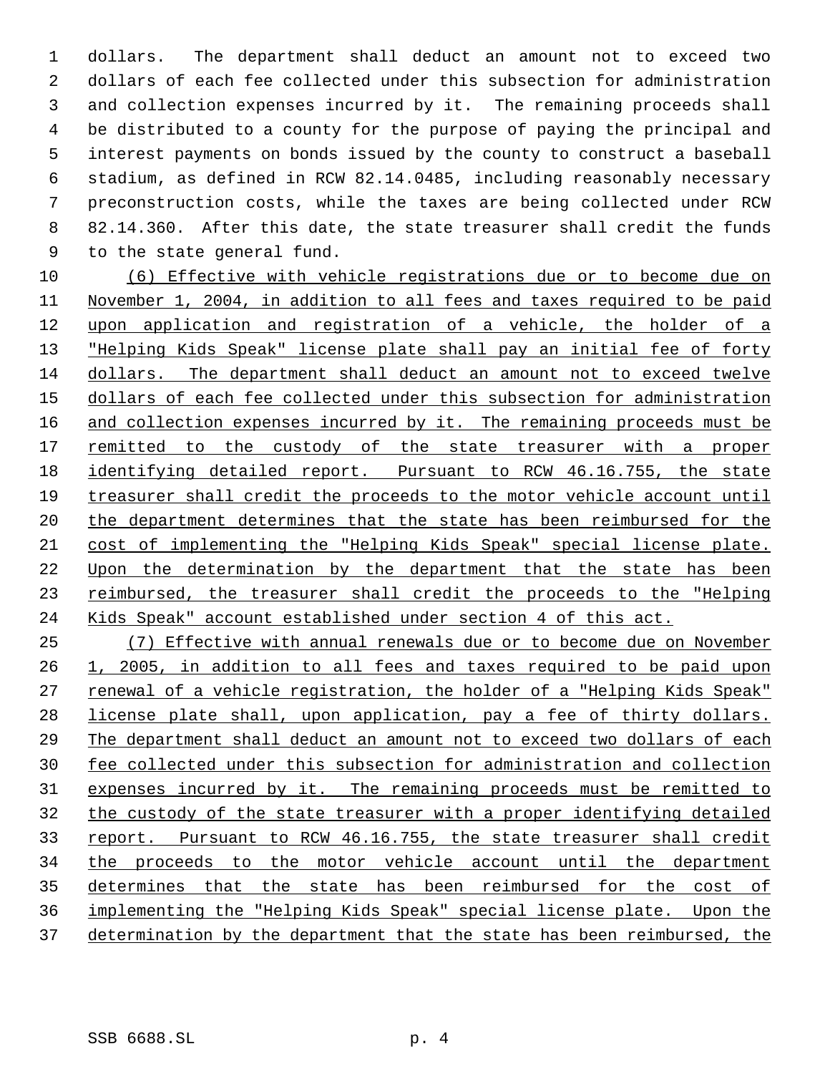dollars. The department shall deduct an amount not to exceed two dollars of each fee collected under this subsection for administration and collection expenses incurred by it. The remaining proceeds shall be distributed to a county for the purpose of paying the principal and interest payments on bonds issued by the county to construct a baseball stadium, as defined in RCW 82.14.0485, including reasonably necessary preconstruction costs, while the taxes are being collected under RCW 82.14.360. After this date, the state treasurer shall credit the funds to the state general fund.

 (6) Effective with vehicle registrations due or to become due on November 1, 2004, in addition to all fees and taxes required to be paid upon application and registration of a vehicle, the holder of a 13 "Helping Kids Speak" license plate shall pay an initial fee of forty dollars. The department shall deduct an amount not to exceed twelve dollars of each fee collected under this subsection for administration 16 and collection expenses incurred by it. The remaining proceeds must be 17 remitted to the custody of the state treasurer with a proper identifying detailed report. Pursuant to RCW 46.16.755, the state treasurer shall credit the proceeds to the motor vehicle account until 20 the department determines that the state has been reimbursed for the cost of implementing the "Helping Kids Speak" special license plate. Upon the determination by the department that the state has been 23 reimbursed, the treasurer shall credit the proceeds to the "Helping Kids Speak" account established under section 4 of this act.

 (7) Effective with annual renewals due or to become due on November 1, 2005, in addition to all fees and taxes required to be paid upon 27 renewal of a vehicle registration, the holder of a "Helping Kids Speak" license plate shall, upon application, pay a fee of thirty dollars. The department shall deduct an amount not to exceed two dollars of each fee collected under this subsection for administration and collection expenses incurred by it. The remaining proceeds must be remitted to the custody of the state treasurer with a proper identifying detailed 33 report. Pursuant to RCW 46.16.755, the state treasurer shall credit the proceeds to the motor vehicle account until the department determines that the state has been reimbursed for the cost of implementing the "Helping Kids Speak" special license plate. Upon the 37 determination by the department that the state has been reimbursed, the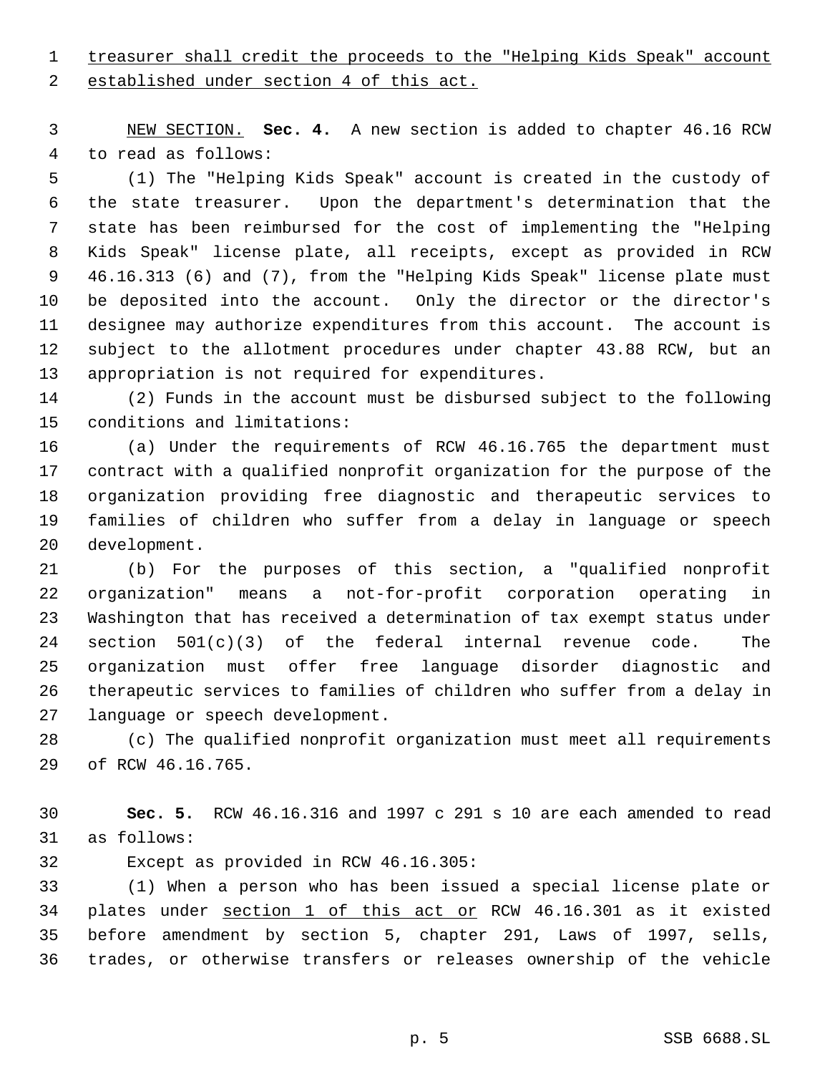# treasurer shall credit the proceeds to the "Helping Kids Speak" account

2 established under section 4 of this act.

 NEW SECTION. **Sec. 4.** A new section is added to chapter 46.16 RCW to read as follows:

 (1) The "Helping Kids Speak" account is created in the custody of the state treasurer. Upon the department's determination that the state has been reimbursed for the cost of implementing the "Helping Kids Speak" license plate, all receipts, except as provided in RCW 46.16.313 (6) and (7), from the "Helping Kids Speak" license plate must be deposited into the account. Only the director or the director's designee may authorize expenditures from this account. The account is subject to the allotment procedures under chapter 43.88 RCW, but an appropriation is not required for expenditures.

 (2) Funds in the account must be disbursed subject to the following conditions and limitations:

 (a) Under the requirements of RCW 46.16.765 the department must contract with a qualified nonprofit organization for the purpose of the organization providing free diagnostic and therapeutic services to families of children who suffer from a delay in language or speech development.

 (b) For the purposes of this section, a "qualified nonprofit organization" means a not-for-profit corporation operating in Washington that has received a determination of tax exempt status under 24 section  $501(c)(3)$  of the federal internal revenue code. The organization must offer free language disorder diagnostic and therapeutic services to families of children who suffer from a delay in language or speech development.

 (c) The qualified nonprofit organization must meet all requirements of RCW 46.16.765.

 **Sec. 5.** RCW 46.16.316 and 1997 c 291 s 10 are each amended to read as follows:

Except as provided in RCW 46.16.305:

 (1) When a person who has been issued a special license plate or plates under section 1 of this act or RCW 46.16.301 as it existed before amendment by section 5, chapter 291, Laws of 1997, sells, trades, or otherwise transfers or releases ownership of the vehicle